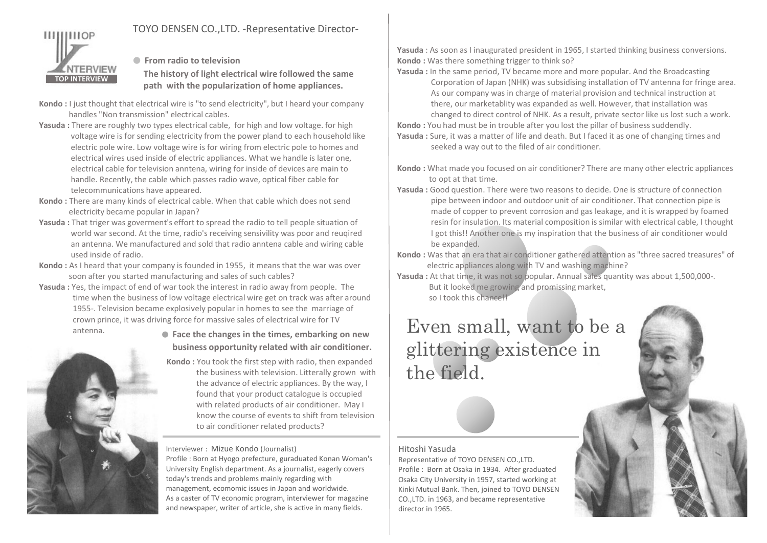

**Example 1** From radio to television

TOP INTERVIEW path with the popularization of home appliances. TOYO DENSEN CO., LTD. -Representative Director-<br>
• From radio to television<br>
The history of light electrical wire followed the same<br>
path with the popularization of home appliances.<br>
As our c The history of light electrical wire followed the same

- Kondo : I just thought that electrical wire is "to send electricity", but I heard your company handles "Non transmission" electrical cables.
- Yasuda : There are roughly two types electrical cable, for high and low voltage. for high voltage wire is for sending electricity from the power pland to each household like electric pole wire. Low voltage wire is for wiring from electric pole to homes and electrical wires used inside of electric appliances. What we handle is later one, electrical cable for television anntena, wiring for inside of devices are main to handle. Recently, the cable which passes radio wave, optical fiber cable for telecommunications have appeared.
- Kondo : There are many kinds of electrical cable. When that cable which does not send electricity became popular in Japan?
- Yasuda : That triger was goverment's effort to spread the radio to tell people situation of world war second. At the time, radio's receiving sensivility was poor and reuqired an antenna. We manufactured and sold that radio anntena cable and wiring cable used inside of radio.
- Kondo : As I heard that your company is founded in 1955, it means that the war was over soon after you started manufacturing and sales of such cables?
- Yasuda : Yes, the impact of end of war took the interest in radio away from people. The time when the business of low voltage electrical wire get on track was after around 1955-. Television became explosively popular in homes to see the marriage of



antenna. ● Face the changes in the times, embarking on new business opportunity related with air conditioner.

> Kondo : You took the first step with radio, then expanded the business with television. Litterally grown with the advance of electric appliances. By the way, I found that your product catalogue is occupied with related products of air conditioner. May I know the course of events to shift from television to air conditioner related products?

## Interviewer : Mizue Kondo (Journalist)

Profile : Born at Hyogo prefecture, guraduated Konan Woman's | Representative of TOYO DENSEN CO., LTD. University English department. As a journalist, eagerly covers today's trends and problems mainly regarding with management, ecomomic issues in Japan and worldwide. As a caster of TV economic program, interviewer for magazine and newspaper, writer of article, she is active in many fields.

Yasuda : As soon as I inaugurated president in 1965, I started thinking business conversions. Kondo : Was there something trigger to think so?

Yasuda : In the same period, TV became more and more popular. And the Broadcasting Corporation of Japan (NHK) was subsidising installation of TV antenna for fringe area. As our company was in charge of material provision and technical instruction at there, our marketablity was expanded as well. However, that installation was changed to direct control of NHK. As a result, private sector like us lost such a work.

Kondo : You had must be in trouble after you lost the pillar of business suddendly.

Yasuda : Sure, it was a matter of life and death. But I faced it as one of changing times and seeked a way out to the filed of air conditioner.

- Kondo : What made you focused on air conditioner? There are many other electric appliances to opt at that time.
- As our company was in charge of material provision and technical instruction at<br>the even, our marketability was expanded as well. However, that installation was<br>changed to direct control of NHK. As a result, private secto Yasuda : Good question. There were two reasons to decide. One is structure of connection pipe between indoor and outdoor unit of air conditioner. That connection pipe is made of copper to prevent corrosion and gas leakage, and it is wrapped by foamed resin for insulation. Its material composition is similar with electrical cable, I thought I got this!! Another one is my inspiration that the business of air conditioner would be expanded.
- Kondo : Was that an era that air conditioner gathered attention as "three sacred treasures" of electric appliances along with TV and washing machine?

Yasuda : At that time, it was not so popular. Annual sales quantity was about 1,500,000-. But it looked me growing and promissing market,

so I took this chance!!

## For this Harper one is my inspiration that the business of air conditioner would<br>be expanded.<br>Condo : Was that an era that air conditioner gathered attention as "three sacred treasures" of<br>a state a conduct applicate along glittering existence in the field. crown prince, it was driving force for massive sales of electrical wire for TV<br>antenna.

## Hitoshi Yasuda

Profile : Born at Osaka in 1934. After graduated Osaka City University in 1957, started working at Kinki Mutual Bank. Then, joined to TOYO DENSEN CO.,LTD. in 1963, and became representative director in 1965.